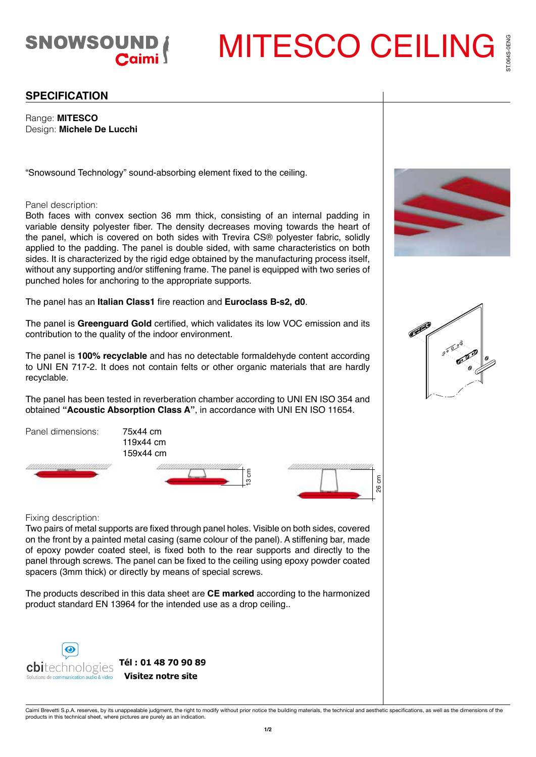

MITESCO CEILING

## **SPECIFICATION**

Range: **MITESCO** Design: **Michele De Lucchi**

"Snowsound Technology" sound-absorbing element fixed to the ceiling.

## Panel description:

Both faces with convex section 36 mm thick, consisting of an internal padding in variable density polyester fiber. The density decreases moving towards the heart of the panel, which is covered on both sides with Trevira CS® polyester fabric, solidly applied to the padding. The panel is double sided, with same characteristics on both sides. It is characterized by the rigid edge obtained by the manufacturing process itself, without any supporting and/or stiffening frame. The panel is equipped with two series of punched holes for anchoring to the appropriate supports.

The panel has an **Italian Class1** fire reaction and **Euroclass B-s2, d0**.

The panel is **Greenguard Gold** certified, which validates its low VOC emission and its contribution to the quality of the indoor environment.

The panel is **100% recyclable** and has no detectable formaldehyde content according to UNI EN 717-2. It does not contain felts or other organic materials that are hardly recyclable.

The panel has been tested in reverberation chamber according to UNI EN ISO 354 and obtained **"Acoustic Absorption Class A"**, in accordance with UNI EN ISO 11654.



Fixing description:

Two pairs of metal supports are fixed through panel holes. Visible on both sides, covered on the front by a painted metal casing (same colour of the panel). A stiffening bar, made of epoxy powder coated steel, is fixed both to the rear supports and directly to the panel through screws. The panel can be fixed to the ceiling using epoxy powder coated spacers (3mm thick) or directly by means of special screws.

The products described in this data sheet are **CE marked** according to the harmonized product standard EN 13964 for the intended use as a drop ceiling..



**Visitez notre site** 





Caimi Brevetti S.p.A. reserves, by its unappealable judgment, the right to modify without prior notice the building materials, the technical and aesthetic specifications, as well as the dimensions of the<br>products in this t